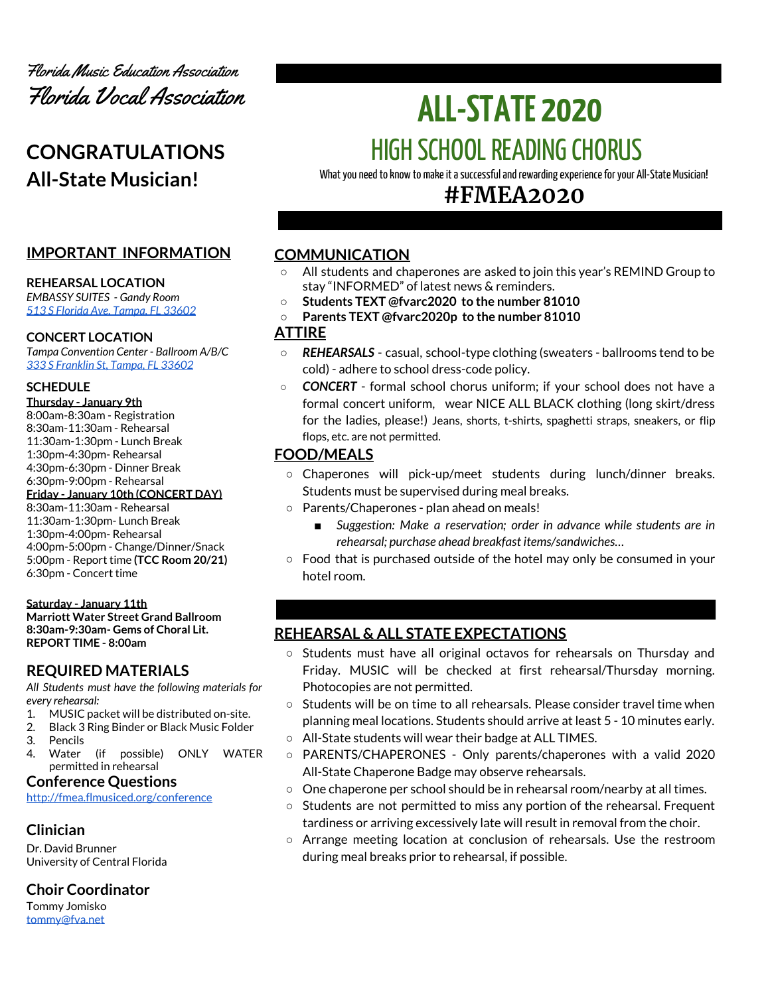

# **CONGRATULATIONS All-State Musician!**

# **IMPORTANT INFORMATION**

#### **REHEARSAL LOCATION**

*EMBASSY SUITES - Gandy Room 513 S Florida Ave, [Tampa,](https://embassysuites3.hilton.com/en/hotels/florida/embassy-suites-by-hilton-tampa-downtown-convention-center-TPAESES/maps-directions/index.html) FL 33602*

#### **CONCERT LOCATION**

*Tampa Convention Center - Ballroom A/B/C 333 S [Franklin](https://www.tampagov.net/tcc/location2) St, Tampa, FL 33602*

#### **SCHEDULE**

- **Thursday - January 9th**
- 8:00am-8:30am Registration 8:30am-11:30am - Rehearsal 11:30am-1:30pm - Lunch Break 1:30pm-4:30pm- Rehearsal 4:30pm-6:30pm - Dinner Break 6:30pm-9:00pm - Rehearsal **Friday - January 10th (CONCERT DAY)** 8:30am-11:30am - Rehearsal 11:30am-1:30pm- Lunch Break 1:30pm-4:00pm- Rehearsal 4:00pm-5:00pm - Change/Dinner/Snack 5:00pm - Report time **(TCC Room 20/21)** 6:30pm - Concert time

#### **Saturday - January 11th**

**Marriott Water Street Grand Ballroom 8:30am-9:30am- Gems of Choral Lit. REPORT TIME - 8:00am**

# **REQUIRED MATERIALS**

*All Students must have the following materials for every rehearsal:*

- 1. MUSIC packet will be distributed on-site.
- 2. Black 3 Ring Binder or Black Music Folder
- 3. Pencils
- 4. Water (if possible) ONLY WATER permitted in rehearsal

## **Conference Questions**

<http://fmea.flmusiced.org/conference>

# **Clinician**

Dr. David Brunner University of Central Florida

# **Choir Coordinator**

Tommy Jomisko [tommy@fva.net](mailto:tommy@fva.net)

# **ALL-STATE 2020** HIGH SCHOOL READING CHORUS

What you need to know to make it a successful and rewarding experience for your All-State Musician!

# **#FMEA2020**

# **COMMUNICATION**

- **○** All students and chaperones are asked to join this year's REMIND Group to stay "INFORMED" of latest news & reminders.
- **○ Students TEXT @fvarc2020 to the number 81010**
- **○ Parents TEXT @fvarc2020p to the number 81010**

## **ATTIRE**

- *REHEARSALS* casual, school-type clothing (sweaters ballrooms tend to be cold) - adhere to school dress-code policy.
- *CONCERT* formal school chorus uniform; if your school does not have a formal concert uniform, wear NICE ALL BLACK clothing (long skirt/dress for the ladies, please!) Jeans, shorts, t-shirts, spaghetti straps, sneakers, or flip flops, etc. are not permitted.

# **FOOD/MEALS**

- Chaperones will pick-up/meet students during lunch/dinner breaks. Students must be supervised during meal breaks.
- Parents/Chaperones plan ahead on meals!
	- *Suggestion:* Make *a reservation; order in advance while students are in rehearsal; purchase ahead breakfast items/sandwiches…*
- Food that is purchased outside of the hotel may only be consumed in your hotel room.

# **REHEARSAL & ALL STATE EXPECTATIONS**

- Students must have all original octavos for rehearsals on Thursday and Friday. MUSIC will be checked at first rehearsal/Thursday morning. Photocopies are not permitted.
- Students will be on time to all rehearsals. Please consider travel time when planning meal locations. Students should arrive at least 5 - 10 minutes early.
- All-State students will wear their badge at ALL TIMES.
- PARENTS/CHAPERONES Only parents/chaperones with a valid 2020 All-State Chaperone Badge may observe rehearsals.
- One chaperone per school should be in rehearsal room/nearby at all times.
- $\circ$  Students are not permitted to miss any portion of the rehearsal. Frequent tardiness or arriving excessively late will result in removal from the choir.
- Arrange meeting location at conclusion of rehearsals. Use the restroom during meal breaks prior to rehearsal, if possible.